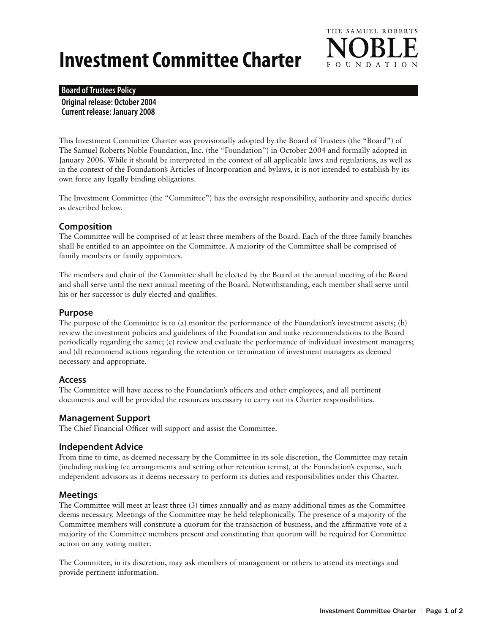# **Investment Committee Charter**



## **Board of Trustees Policy**

**Original release: October 2004 Current release: January 2008**

This Investment Committee Charter was provisionally adopted by the Board of Trustees (the "Board") of The Samuel Roberts Noble Foundation, Inc. (the "Foundation") in October 2004 and formally adopted in January 2006. While it should be interpreted in the context of all applicable laws and regulations, as well as in the context of the Foundation's Articles of Incorporation and bylaws, it is not intended to establish by its own force any legally binding obligations.

The Investment Committee (the "Committee") has the oversight responsibility, authority and specific duties as described below.

## **Composition**

The Committee will be comprised of at least three members of the Board. Each of the three family branches shall be entitled to an appointee on the Committee. A majority of the Committee shall be comprised of family members or family appointees.

The members and chair of the Committee shall be elected by the Board at the annual meeting of the Board and shall serve until the next annual meeting of the Board. Notwithstanding, each member shall serve until his or her successor is duly elected and qualifies.

## **Purpose**

The purpose of the Committee is to (a) monitor the performance of the Foundation's investment assets; (b) review the investment policies and guidelines of the Foundation and make recommendations to the Board periodically regarding the same; (c) review and evaluate the performance of individual investment managers; and (d) recommend actions regarding the retention or termination of investment managers as deemed necessary and appropriate.

## **Access**

The Committee will have access to the Foundation's officers and other employees, and all pertinent documents and will be provided the resources necessary to carry out its Charter responsibilities.

## **Management Support**

The Chief Financial Officer will support and assist the Committee.

## **Independent Advice**

From time to time, as deemed necessary by the Committee in its sole discretion, the Committee may retain (including making fee arrangements and setting other retention terms), at the Foundation's expense, such independent advisors as it deems necessary to perform its duties and responsibilities under this Charter.

## **Meetings**

The Committee will meet at least three (3) times annually and as many additional times as the Committee deems necessary. Meetings of the Committee may be held telephonically. The presence of a majority of the Committee members will constitute a quorum for the transaction of business, and the affirmative vote of a majority of the Committee members present and constituting that quorum will be required for Committee action on any voting matter.

The Committee, in its discretion, may ask members of management or others to attend its meetings and provide pertinent information.